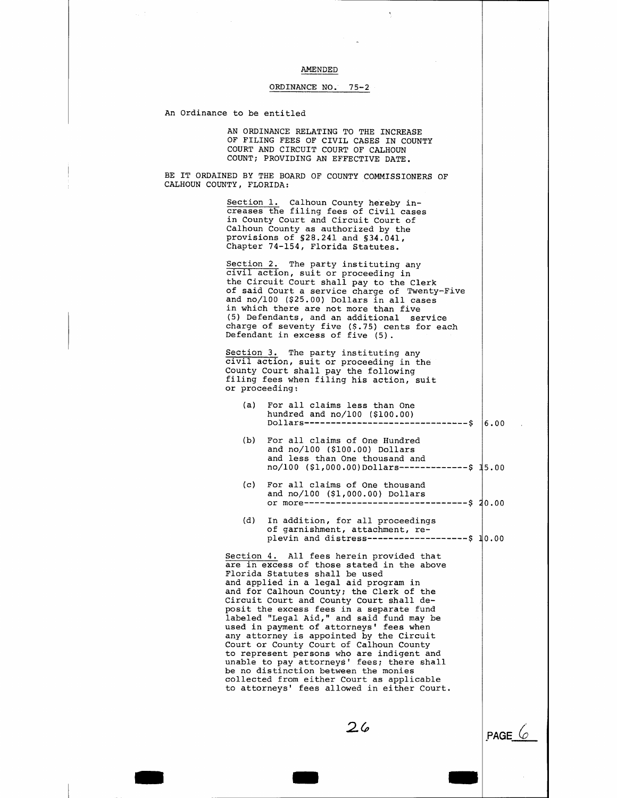AMENDED AMENDED

## ORDINANCE NO. 75-2

An Ordinance to be entitled

AN ORDINANCE RELATING TO THE INCREASE OF FILING FEES OF CIVIL CASES IN COUNTY COURT AND CIRCUIT COURT OF CALHOUN COUNT; PROVIDING AN EFFECTIVE DATE.

BE IT ORDAINED BY THE BOARD OF COUNTY COMMISSIONERS OF CALHOUN COUNTY, FLORIDA:

> Section 1. Calhoun County hereby increases the filing fees of Civil cases in County Court and Circuit Court of Calhoun County as authorized by the provisions of §28.241 and §34.041, Chapter 74-154, Florida Statutes.

Section 2. The party instituting any civil action, suit or proceeding in the Circuit Court shall pay to the Clerk of said Court a service charge of Twenty-five and no/100 (\$25.00) Dollars in all cases in which there are not more than five (5) Defendants, and an additional service charge of seventy five (\$.75) cents for each Defendant in excess of five (5).

Section 3. The party instituting any civil action, suit or proceeding in the County Court shall pay the following filing fees when filing his action, suit or proceeding:

- (a) For all claims less than One hundred and no/100 (\$100.00) Dollars-------------------------------\$ 6.00
- (b) For all claims of One Hundred and no/100 (\$100.00) Dollars and less than One thousand and no/100 (\$1,000.00)Dollars--------------\$ 15.00
- (c) For all claims of One thousand and no/100 (\$1,000.00) Dollars or more-------------------------------\$ 0.00
- (d) In addition, for all proceedings of garnishment, attachment, replevin and distress---------------------- \$ 10.00

Section 4. All fees herein provided that are in excess of those stated in the above Florida Statutes shall be used and applied in a legal aid program in and for Calhoun County; the Clerk of the Circuit Court and County Court shall deposit the excess fees in a separate fund labeled "Legal Aid," and said fund may be added dogas him, the said fand  $m_T$ . any attorney is appointed by the Circuit Court or County Court of Calhoun County to represent persons who are indigent and unable to pay attorneys' fees; there shall be no distinction between the monies collected from either Court as applicable to attorneys' fees allowed in either Court.

 $26$ 

- -

**PAGE**  $\&$ 

-